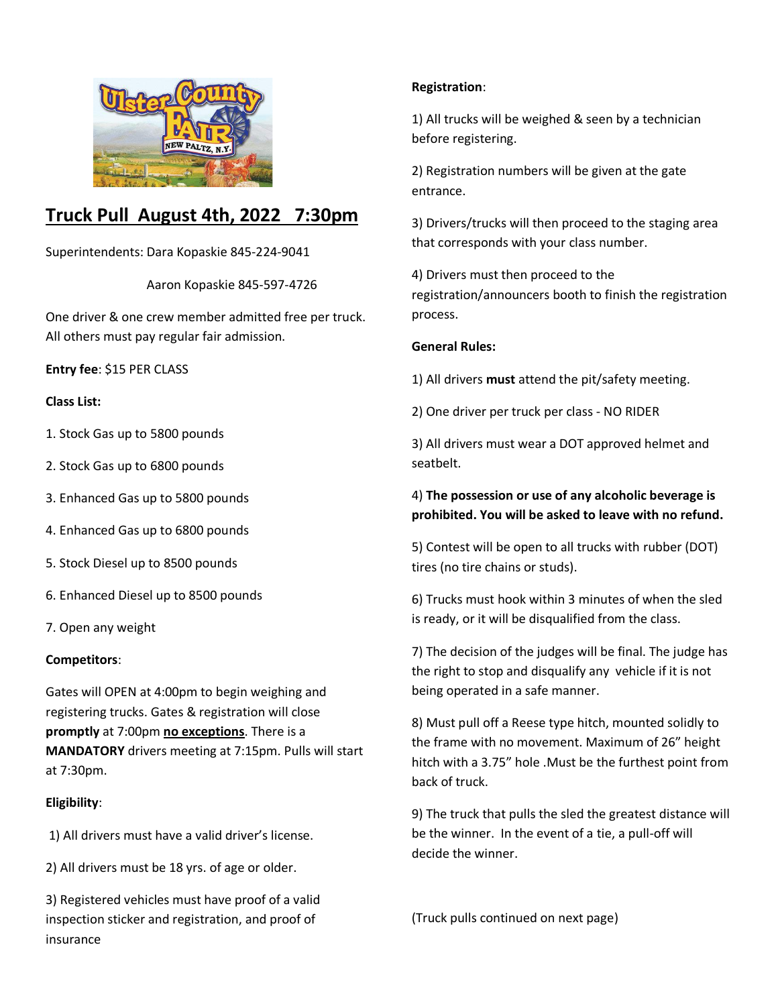

# **Truck Pull August 4th, 2022 7:30pm**

Superintendents: Dara Kopaskie 845-224-9041

Aaron Kopaskie 845-597-4726

One driver & one crew member admitted free per truck. All others must pay regular fair admission.

**Entry fee**: \$15 PER CLASS

# **Class List:**

- 1. Stock Gas up to 5800 pounds
- 2. Stock Gas up to 6800 pounds
- 3. Enhanced Gas up to 5800 pounds
- 4. Enhanced Gas up to 6800 pounds
- 5. Stock Diesel up to 8500 pounds
- 6. Enhanced Diesel up to 8500 pounds
- 7. Open any weight

#### **Competitors**:

Gates will OPEN at 4:00pm to begin weighing and registering trucks. Gates & registration will close **promptly** at 7:00pm **no exceptions**. There is a **MANDATORY** drivers meeting at 7:15pm. Pulls will start at 7:30pm.

# **Eligibility**:

- 1) All drivers must have a valid driver's license.
- 2) All drivers must be 18 yrs. of age or older.

3) Registered vehicles must have proof of a valid inspection sticker and registration, and proof of insurance

# **Registration**:

1) All trucks will be weighed & seen by a technician before registering.

2) Registration numbers will be given at the gate entrance.

3) Drivers/trucks will then proceed to the staging area that corresponds with your class number.

4) Drivers must then proceed to the registration/announcers booth to finish the registration process.

# **General Rules:**

1) All drivers **must** attend the pit/safety meeting.

2) One driver per truck per class - NO RIDER

3) All drivers must wear a DOT approved helmet and seatbelt.

# 4) **The possession or use of any alcoholic beverage is prohibited. You will be asked to leave with no refund.**

5) Contest will be open to all trucks with rubber (DOT) tires (no tire chains or studs).

6) Trucks must hook within 3 minutes of when the sled is ready, or it will be disqualified from the class.

7) The decision of the judges will be final. The judge has the right to stop and disqualify any vehicle if it is not being operated in a safe manner.

8) Must pull off a Reese type hitch, mounted solidly to the frame with no movement. Maximum of 26" height hitch with a 3.75" hole .Must be the furthest point from back of truck.

9) The truck that pulls the sled the greatest distance will be the winner. In the event of a tie, a pull-off will decide the winner.

(Truck pulls continued on next page)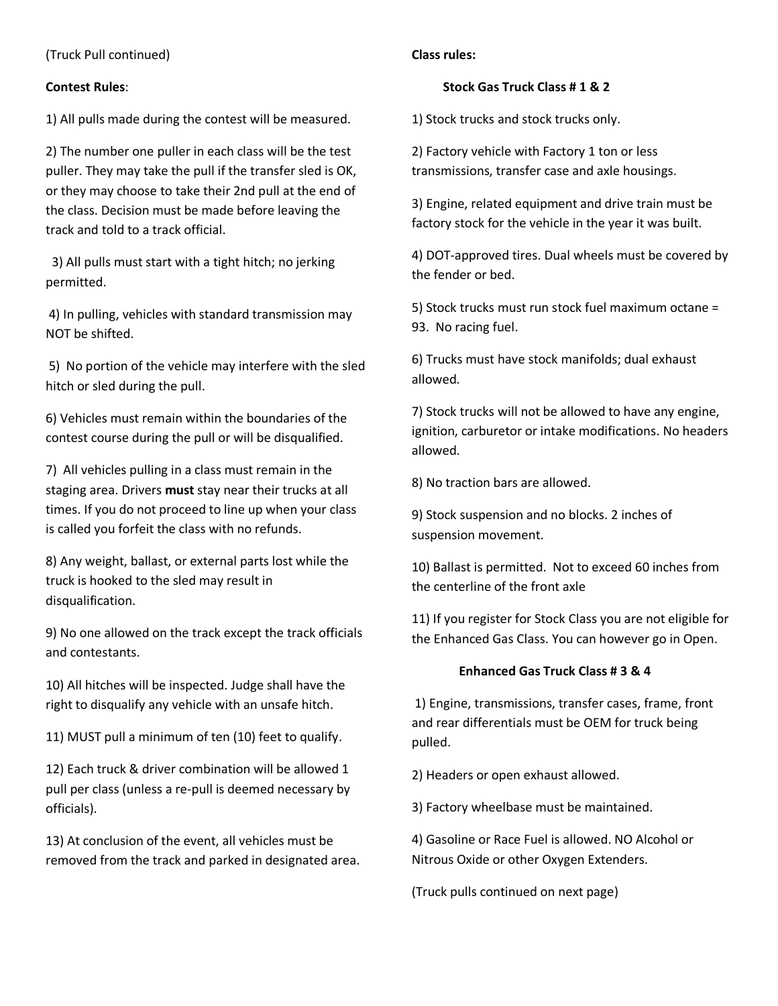(Truck Pull continued)

# **Contest Rules**:

1) All pulls made during the contest will be measured.

2) The number one puller in each class will be the test puller. They may take the pull if the transfer sled is OK, or they may choose to take their 2nd pull at the end of the class. Decision must be made before leaving the track and told to a track official.

3) All pulls must start with a tight hitch; no jerking permitted.

4) In pulling, vehicles with standard transmission may NOT be shifted.

5) No portion of the vehicle may interfere with the sled hitch or sled during the pull.

6) Vehicles must remain within the boundaries of the contest course during the pull or will be disqualified.

7) All vehicles pulling in a class must remain in the staging area. Drivers **must** stay near their trucks at all times. If you do not proceed to line up when your class is called you forfeit the class with no refunds.

8) Any weight, ballast, or external parts lost while the truck is hooked to the sled may result in disqualification.

9) No one allowed on the track except the track officials and contestants.

10) All hitches will be inspected. Judge shall have the right to disqualify any vehicle with an unsafe hitch.

11) MUST pull a minimum of ten (10) feet to qualify.

12) Each truck & driver combination will be allowed 1 pull per class (unless a re-pull is deemed necessary by officials).

13) At conclusion of the event, all vehicles must be removed from the track and parked in designated area.

#### **Class rules:**

#### **Stock Gas Truck Class # 1 & 2**

1) Stock trucks and stock trucks only.

2) Factory vehicle with Factory 1 ton or less transmissions, transfer case and axle housings.

3) Engine, related equipment and drive train must be factory stock for the vehicle in the year it was built.

4) DOT-approved tires. Dual wheels must be covered by the fender or bed.

5) Stock trucks must run stock fuel maximum octane = 93. No racing fuel.

6) Trucks must have stock manifolds; dual exhaust allowed.

7) Stock trucks will not be allowed to have any engine, ignition, carburetor or intake modifications. No headers allowed.

8) No traction bars are allowed.

9) Stock suspension and no blocks. 2 inches of suspension movement.

10) Ballast is permitted. Not to exceed 60 inches from the centerline of the front axle

11) If you register for Stock Class you are not eligible for the Enhanced Gas Class. You can however go in Open.

#### **Enhanced Gas Truck Class # 3 & 4**

1) Engine, transmissions, transfer cases, frame, front and rear differentials must be OEM for truck being pulled.

2) Headers or open exhaust allowed.

3) Factory wheelbase must be maintained.

4) Gasoline or Race Fuel is allowed. NO Alcohol or Nitrous Oxide or other Oxygen Extenders.

(Truck pulls continued on next page)